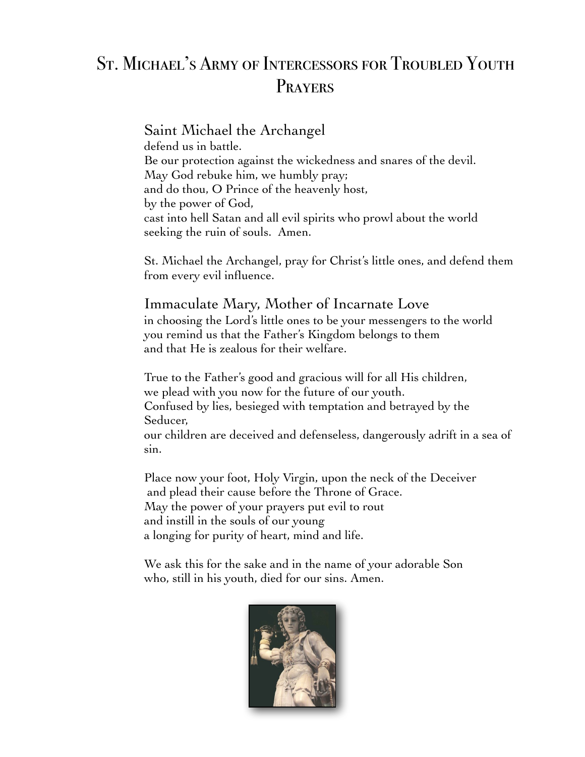## St. Michael's Army of Intercessors for Troubled Youth **PRAYERS**

Saint Michael the Archangel defend us in battle. Be our protection against the wickedness and snares of the devil. May God rebuke him, we humbly pray; and do thou, O Prince of the heavenly host, by the power of God, cast into hell Satan and all evil spirits who prowl about the world seeking the ruin of souls. Amen.

St. Michael the Archangel, pray for Christ's little ones, and defend them from every evil influence.

## Immaculate Mary, Mother of Incarnate Love

in choosing the Lord's little ones to be your messengers to the world you remind us that the Father's Kingdom belongs to them and that He is zealous for their welfare.

True to the Father's good and gracious will for all His children, we plead with you now for the future of our youth. Confused by lies, besieged with temptation and betrayed by the Seducer, our children are deceived and defenseless, dangerously adrift in a sea of sin.

Place now your foot, Holy Virgin, upon the neck of the Deceiver and plead their cause before the Throne of Grace. May the power of your prayers put evil to rout and instill in the souls of our young a longing for purity of heart, mind and life.

We ask this for the sake and in the name of your adorable Son who, still in his youth, died for our sins. Amen.